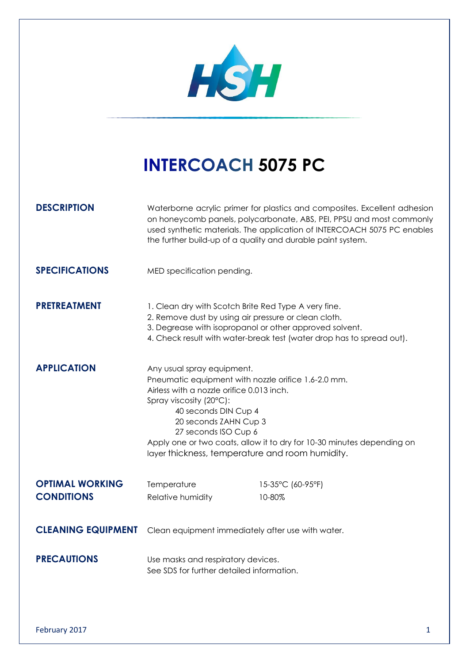

# **INTERCOACH 5075 PC**

**DESCRIPTION** Waterborne acrylic primer for plastics and composites. Excellent adhesion on honeycomb panels, polycarbonate, ABS, PEI, PPSU and most commonly used synthetic materials. The application of INTERCOACH 5075 PC enables the further build-up of a quality and durable paint system.

**SPECIFICATIONS** MED specification pending.

## **PRETREATMENT** 1. Clean dry with Scotch Brite Red Type A very fine.

- 2. Remove dust by using air pressure or clean cloth.
- 3. Degrease with isopropanol or other approved solvent.
- 4. Check result with water-break test (water drop has to spread out).

### **APPLICATION** Any usual spray equipment.

Pneumatic equipment with nozzle orifice 1.6-2.0 mm. Airless with a nozzle orifice 0.013 inch. Spray viscosity (20°C): 40 seconds DIN Cup 4 20 seconds ZAHN Cup 3 27 seconds ISO Cup 6

Apply one or two coats, allow it to dry for 10-30 minutes depending on layer thickness, temperature and room humidity.

# **OPTIMAL WORKING** Temperature 15-35°C (60-95°F) **CONDITIONS** Relative humidity 10-80%

**CLEANING EQUIPMENT** Clean equipment immediately after use with water.

### **PRECAUTIONS** Use masks and respiratory devices. See SDS for further detailed information.